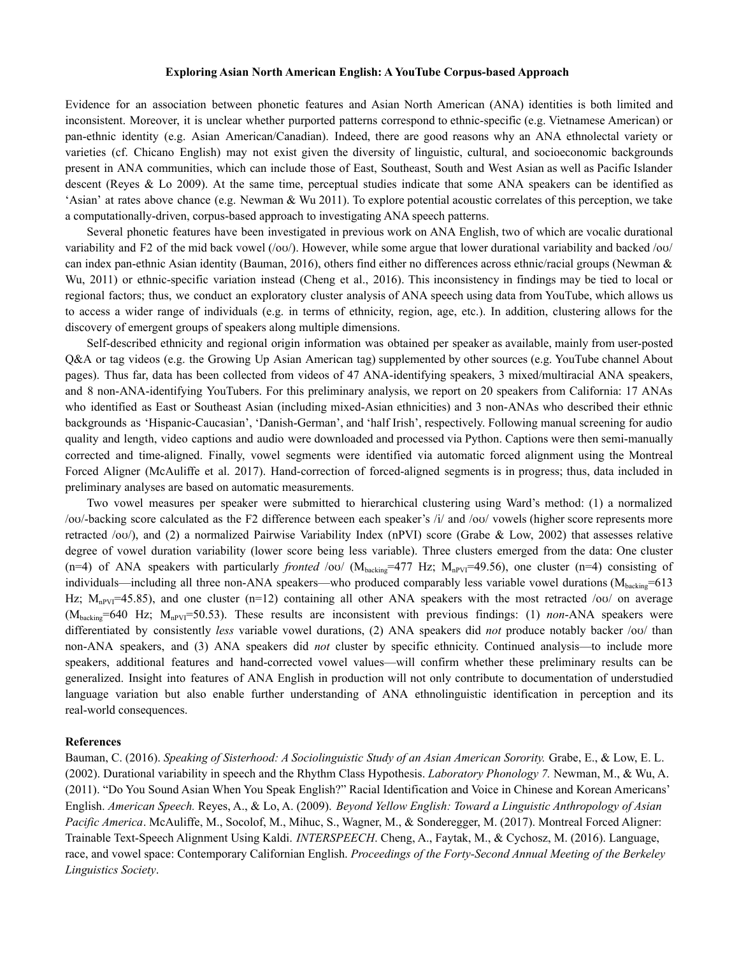#### **Exploring Asian North American English: A YouTube Corpus-based Approach**

Evidence for an association between phonetic features and Asian North American (ANA) identities is both limited and inconsistent. Moreover, it is unclear whether purported patterns correspond to ethnic-specific (e.g. Vietnamese American) or pan-ethnic identity (e.g. Asian American/Canadian). Indeed, there are good reasons why an ANA ethnolectal variety or varieties (cf. Chicano English) may not exist given the diversity of linguistic, cultural, and socioeconomic backgrounds present in ANA communities, which can include those of East, Southeast, South and West Asian as well as Pacific Islander descent (Reyes & Lo 2009). At the same time, perceptual studies indicate that some ANA speakers can be identified as 'Asian' at rates above chance (e.g. Newman & Wu 2011). To explore potential acoustic correlates of this perception, we take a computationally-driven, corpus-based approach to investigating ANA speech patterns.

Several phonetic features have been investigated in previous work on ANA English, two of which are vocalic durational variability and F2 of the mid back vowel  $(\alpha)$ . However, while some argue that lower durational variability and backed  $\alpha$ can index pan-ethnic Asian identity (Bauman, 2016), others find either no differences across ethnic/racial groups (Newman & Wu, 2011) or ethnic-specific variation instead (Cheng et al., 2016). This inconsistency in findings may be tied to local or regional factors; thus, we conduct an exploratory cluster analysis of ANA speech using data from YouTube, which allows us to access a wider range of individuals (e.g. in terms of ethnicity, region, age, etc.). In addition, clustering allows for the discovery of emergent groups of speakers along multiple dimensions.

Self-described ethnicity and regional origin information was obtained per speaker as available, mainly from user-posted Q&A or tag videos (e.g. the Growing Up Asian American tag) supplemented by other sources (e.g. YouTube channel About pages). Thus far, data has been collected from videos of 47 ANA-identifying speakers, 3 mixed/multiracial ANA speakers, and 8 non-ANA-identifying YouTubers. For this preliminary analysis, we report on 20 speakers from California: 17 ANAs who identified as East or Southeast Asian (including mixed-Asian ethnicities) and 3 non-ANAs who described their ethnic backgrounds as 'Hispanic-Caucasian', 'Danish-German', and 'half Irish', respectively. Following manual screening for audio quality and length, video captions and audio were downloaded and processed via Python. Captions were then semi-manually corrected and time-aligned. Finally, vowel segments were identified via automatic forced alignment using the Montreal Forced Aligner (McAuliffe et al. 2017). Hand-correction of forced-aligned segments is in progress; thus, data included in preliminary analyses are based on automatic measurements.

Two vowel measures per speaker were submitted to hierarchical clustering using Ward's method: (1) a normalized /oʊ/-backing score calculated as the F2 difference between each speaker's /i/ and /oʊ/ vowels (higher score represents more retracted /oʊ/), and (2) a normalized Pairwise Variability Index (nPVI) score (Grabe & Low, 2002) that assesses relative degree of vowel duration variability (lower score being less variable). Three clusters emerged from the data: One cluster (n=4) of ANA speakers with particularly *fronted* /ov/ ( $M_{\text{backing}}$ =477 Hz;  $M_{\text{npVI}}$ =49.56), one cluster (n=4) consisting of individuals—including all three non-ANA speakers—who produced comparably less variable vowel durations ( $M_{\text{background}}=613$ Hz;  $M_{npV}$ =45.85), and one cluster (n=12) containing all other ANA speakers with the most retracted /oʊ/ on average (Mbacking=640 Hz; MnPVI=50.53). These results are inconsistent with previous findings: (1) *non*-ANA speakers were differentiated by consistently *less* variable vowel durations, (2) ANA speakers did *not* produce notably backer /oʊ/ than non-ANA speakers, and (3) ANA speakers did *not* cluster by specific ethnicity. Continued analysis—to include more speakers, additional features and hand-corrected vowel values—will confirm whether these preliminary results can be generalized. Insight into features of ANA English in production will not only contribute to documentation of understudied language variation but also enable further understanding of ANA ethnolinguistic identification in perception and its real-world consequences.

#### **References**

Bauman, C. (2016). *Speaking of Sisterhood: A Sociolinguistic Study of an Asian American Sorority.* Grabe, E., & Low, E. L. (2002). Durational variability in speech and the Rhythm Class Hypothesis. *Laboratory Phonology 7.* Newman, M., & Wu, A. (2011). "Do You Sound Asian When You Speak English?" Racial Identification and Voice in Chinese and Korean Americans' English. *American Speech.* Reyes, A., & Lo, A. (2009). *Beyond Yellow English: Toward a Linguistic Anthropology of Asian Pacific America*. McAuliffe, M., Socolof, M., Mihuc, S., Wagner, M., & Sonderegger, M. (2017). Montreal Forced Aligner: Trainable Text-Speech Alignment Using Kaldi. *INTERSPEECH*. Cheng, A., Faytak, M., & Cychosz, M. (2016). Language, race, and vowel space: Contemporary Californian English. *Proceedings of the Forty-Second Annual Meeting of the Berkeley Linguistics Society*.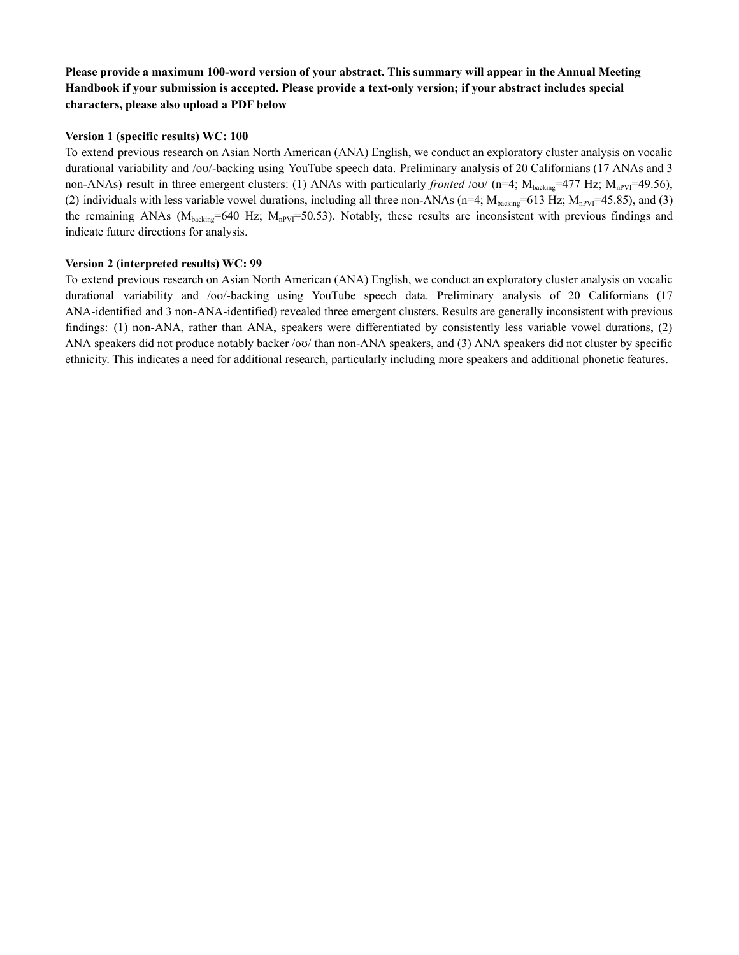## Please provide a maximum 100-word version of your abstract. This summary will appear in the Annual Meeting **Handbook if your submission is accepted. Please provide a text-only version; if your abstract includes special characters, please also upload a PDF below**

### **Version 1 (specific results) WC: 100**

To extend previous research on Asian North American (ANA) English, we conduct an exploratory cluster analysis on vocalic durational variability and /oʊ/-backing using YouTube speech data. Preliminary analysis of 20 Californians (17 ANAs and 3 non-ANAs) result in three emergent clusters: (1) ANAs with particularly *fronted* /ov/ (n=4;  $M_{\text{backward}}=477$  Hz;  $M_{\text{npV}}=49.56$ ), (2) individuals with less variable vowel durations, including all three non-ANAs (n=4;  $M_{\text{background}}=613$  Hz;  $M_{\text{nPVI}}=45.85$ ), and (3) the remaining ANAs ( $M_{\text{backing}}$ =640 Hz;  $M_{\text{nPVI}}$ =50.53). Notably, these results are inconsistent with previous findings and indicate future directions for analysis.

### **Version 2 (interpreted results) WC: 99**

To extend previous research on Asian North American (ANA) English, we conduct an exploratory cluster analysis on vocalic durational variability and /oʊ/-backing using YouTube speech data. Preliminary analysis of 20 Californians (17 ANA-identified and 3 non-ANA-identified) revealed three emergent clusters. Results are generally inconsistent with previous findings: (1) non-ANA, rather than ANA, speakers were differentiated by consistently less variable vowel durations, (2) ANA speakers did not produce notably backer /oʊ/ than non-ANA speakers, and (3) ANA speakers did not cluster by specific ethnicity. This indicates a need for additional research, particularly including more speakers and additional phonetic features.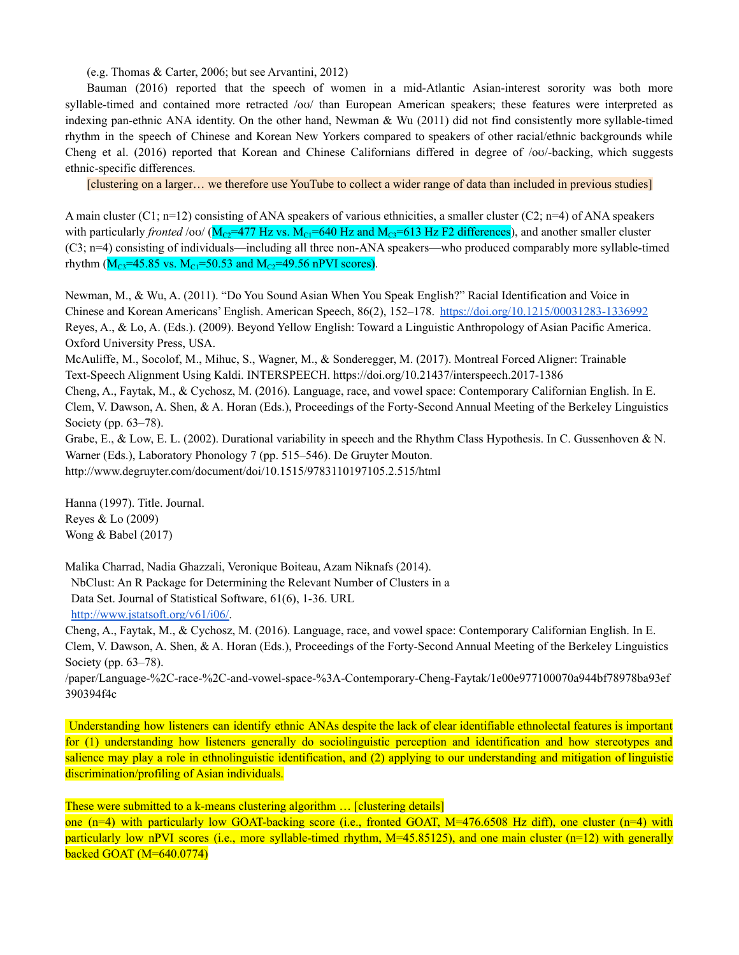(e.g. Thomas & Carter, 2006; but see Arvantini, 2012)

Bauman (2016) reported that the speech of women in a mid-Atlantic Asian-interest sorority was both more syllable-timed and contained more retracted /ov/ than European American speakers; these features were interpreted as indexing pan-ethnic ANA identity. On the other hand, Newman & Wu (2011) did not find consistently more syllable-timed rhythm in the speech of Chinese and Korean New Yorkers compared to speakers of other racial/ethnic backgrounds while Cheng et al. (2016) reported that Korean and Chinese Californians differed in degree of /oʊ/-backing, which suggests ethnic-specific differences.

[clustering on a larger… we therefore use YouTube to collect a wider range of data than included in previous studies]

A main cluster (C1;  $n=12$ ) consisting of ANA speakers of various ethnicities, a smaller cluster (C2;  $n=4$ ) of ANA speakers with particularly *fronted* /ov/  $(M_{C2} = 477$  Hz vs.  $M_{C1} = 640$  Hz and  $M_{C3} = 613$  Hz F2 differences), and another smaller cluster (C3; n=4) consisting of individuals—including all three non-ANA speakers—who produced comparably more syllable-timed rhythm ( $M_{C3}$ =45.85 vs.  $M_{C1}$ =50.53 and  $M_{C2}$ =49.56 nPVI scores).

Newman, M., & Wu, A. (2011). "Do You Sound Asian When You Speak English?" Racial Identification and Voice in Chinese and Korean Americans' English. American Speech, 86(2), 152–178. <https://doi.org/10.1215/00031283-1336992> Reyes, A., & Lo, A. (Eds.). (2009). Beyond Yellow English: Toward a Linguistic Anthropology of Asian Pacific America. Oxford University Press, USA.

McAuliffe, M., Socolof, M., Mihuc, S., Wagner, M., & Sonderegger, M. (2017). Montreal Forced Aligner: Trainable Text-Speech Alignment Using Kaldi. INTERSPEECH. https://doi.org/10.21437/interspeech.2017-1386

Cheng, A., Faytak, M., & Cychosz, M. (2016). Language, race, and vowel space: Contemporary Californian English. In E. Clem, V. Dawson, A. Shen, & A. Horan (Eds.), Proceedings of the Forty-Second Annual Meeting of the Berkeley Linguistics Society (pp. 63–78).

Grabe, E., & Low, E. L. (2002). Durational variability in speech and the Rhythm Class Hypothesis. In C. Gussenhoven & N. Warner (Eds.), Laboratory Phonology 7 (pp. 515–546). De Gruyter Mouton. http://www.degruyter.com/document/doi/10.1515/9783110197105.2.515/html

Hanna (1997). Title. Journal. Reyes & Lo (2009) Wong & Babel (2017)

Malika Charrad, Nadia Ghazzali, Veronique Boiteau, Azam Niknafs (2014). NbClust: An R Package for Determining the Relevant Number of Clusters in a Data Set. Journal of Statistical Software, 61(6), 1-36. URL [http://www.jstatsoft.org/v61/i06/.](http://www.jstatsoft.org/v61/i06/)

Cheng, A., Faytak, M., & Cychosz, M. (2016). Language, race, and vowel space: Contemporary Californian English. In E. Clem, V. Dawson, A. Shen, & A. Horan (Eds.), Proceedings of the Forty-Second Annual Meeting of the Berkeley Linguistics Society (pp. 63–78).

/paper/Language-%2C-race-%2C-and-vowel-space-%3A-Contemporary-Cheng-Faytak/1e00e977100070a944bf78978ba93ef 390394f4c

Understanding how listeners can identify ethnic ANAs despite the lack of clear identifiable ethnolectal features is important for (1) understanding how listeners generally do sociolinguistic perception and identification and how stereotypes and salience may play a role in ethnolinguistic identification, and (2) applying to our understanding and mitigation of linguistic discrimination/profiling of Asian individuals.

These were submitted to a k-means clustering algorithm … [clustering details]

one  $(n=4)$  with particularly low GOAT-backing score (i.e., fronted GOAT,  $M=476.6508$  Hz diff), one cluster  $(n=4)$  with particularly low nPVI scores (i.e., more syllable-timed rhythm, M=45.85125), and one main cluster (n=12) with generally backed GOAT (M=640.0774)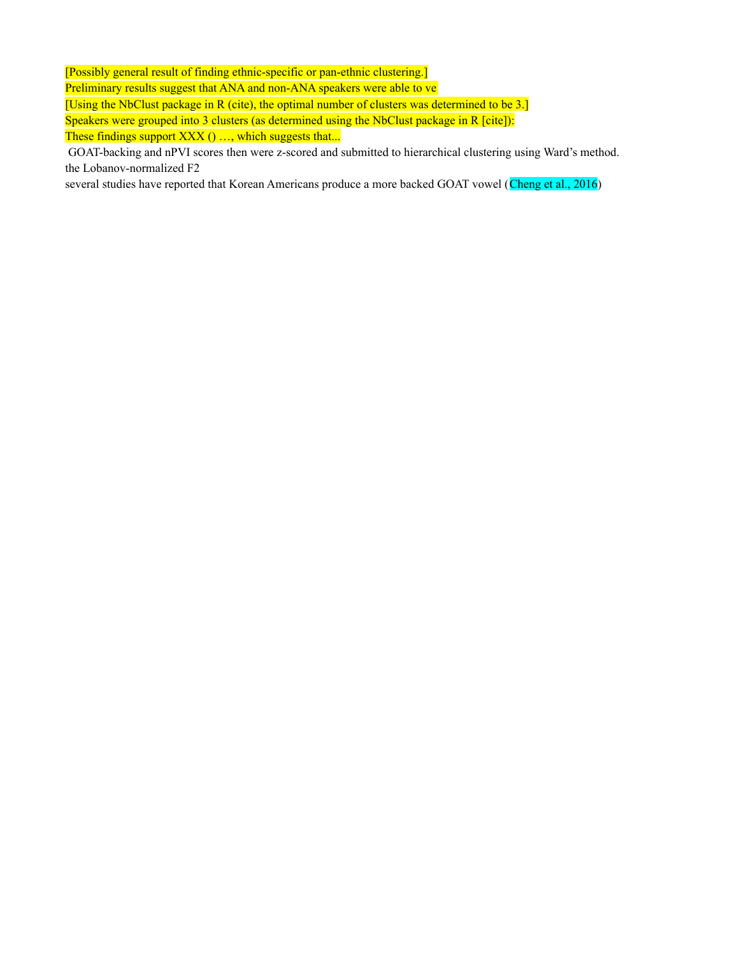[Possibly general result of finding ethnic-specific or pan-ethnic clustering.]

Preliminary results suggest that ANA and non-ANA speakers were able to ve

[Using the NbClust package in R (cite), the optimal number of clusters was determined to be 3.]

Speakers were grouped into 3 clusters (as determined using the NbClust package in R [cite]): These findings support XXX () ..., which suggests that...

GOAT-backing and nPVI scores then were z-scored and submitted to hierarchical clustering using Ward's method. the Lobanov-normalized F2

several studies have reported that Korean Americans produce a more backed GOAT vowel (Cheng et al., 2016)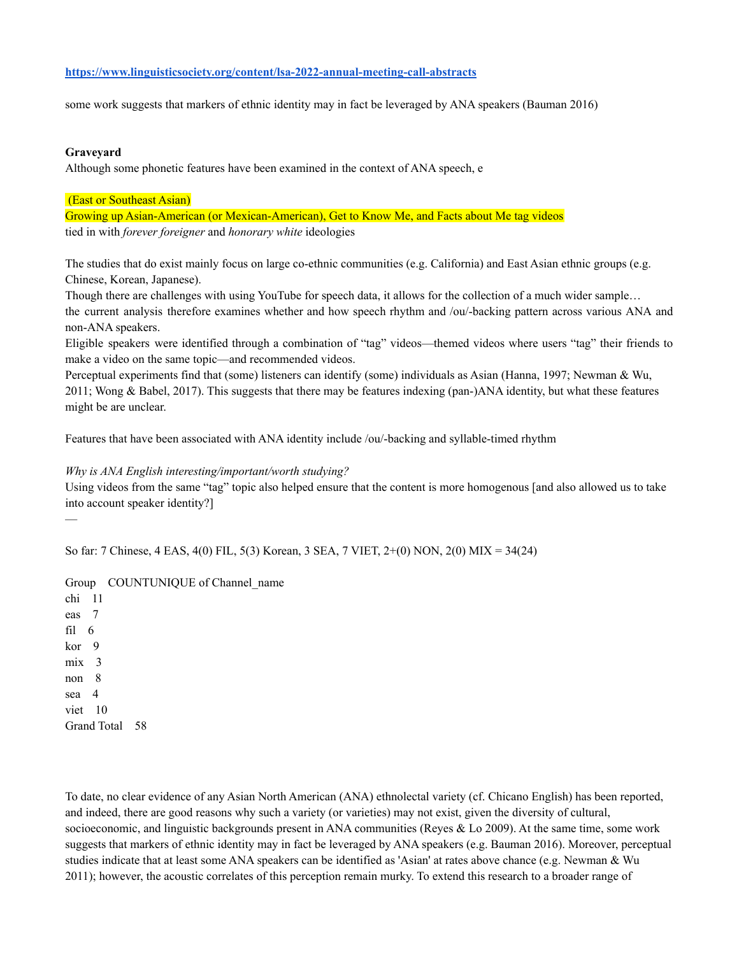### **<https://www.linguisticsociety.org/content/lsa-2022-annual-meeting-call-abstracts>**

some work suggests that markers of ethnic identity may in fact be leveraged by ANA speakers (Bauman 2016)

#### **Graveyard**

Although some phonetic features have been examined in the context of ANA speech, e

#### (East or Southeast Asian)

Growing up Asian-American (or Mexican-American), Get to Know Me, and Facts about Me tag videos tied in with *forever foreigner* and *honorary white* ideologies

The studies that do exist mainly focus on large co-ethnic communities (e.g. California) and East Asian ethnic groups (e.g. Chinese, Korean, Japanese).

Though there are challenges with using YouTube for speech data, it allows for the collection of a much wider sample… the current analysis therefore examines whether and how speech rhythm and /ou/-backing pattern across various ANA and non-ANA speakers.

Eligible speakers were identified through a combination of "tag" videos—themed videos where users "tag" their friends to make a video on the same topic—and recommended videos.

Perceptual experiments find that (some) listeners can identify (some) individuals as Asian (Hanna, 1997; Newman & Wu, 2011; Wong & Babel, 2017). This suggests that there may be features indexing (pan-)ANA identity, but what these features might be are unclear.

Features that have been associated with ANA identity include /ou/-backing and syllable-timed rhythm

#### *Why is ANA English interesting/important/worth studying?*

Using videos from the same "tag" topic also helped ensure that the content is more homogenous [and also allowed us to take into account speaker identity?]

So far: 7 Chinese, 4 EAS, 4(0) FIL, 5(3) Korean, 3 SEA, 7 VIET, 2+(0) NON, 2(0) MIX = 34(24)

Group COUNTUNIQUE of Channel\_name chi 11 eas 7 fil 6

kor 9 mix 3 non 8 sea 4 viet 10 Grand Total 58

—

To date, no clear evidence of any Asian North American (ANA) ethnolectal variety (cf. Chicano English) has been reported, and indeed, there are good reasons why such a variety (or varieties) may not exist, given the diversity of cultural, socioeconomic, and linguistic backgrounds present in ANA communities (Reyes & Lo 2009). At the same time, some work suggests that markers of ethnic identity may in fact be leveraged by ANA speakers (e.g. Bauman 2016). Moreover, perceptual studies indicate that at least some ANA speakers can be identified as 'Asian' at rates above chance (e.g. Newman & Wu 2011); however, the acoustic correlates of this perception remain murky. To extend this research to a broader range of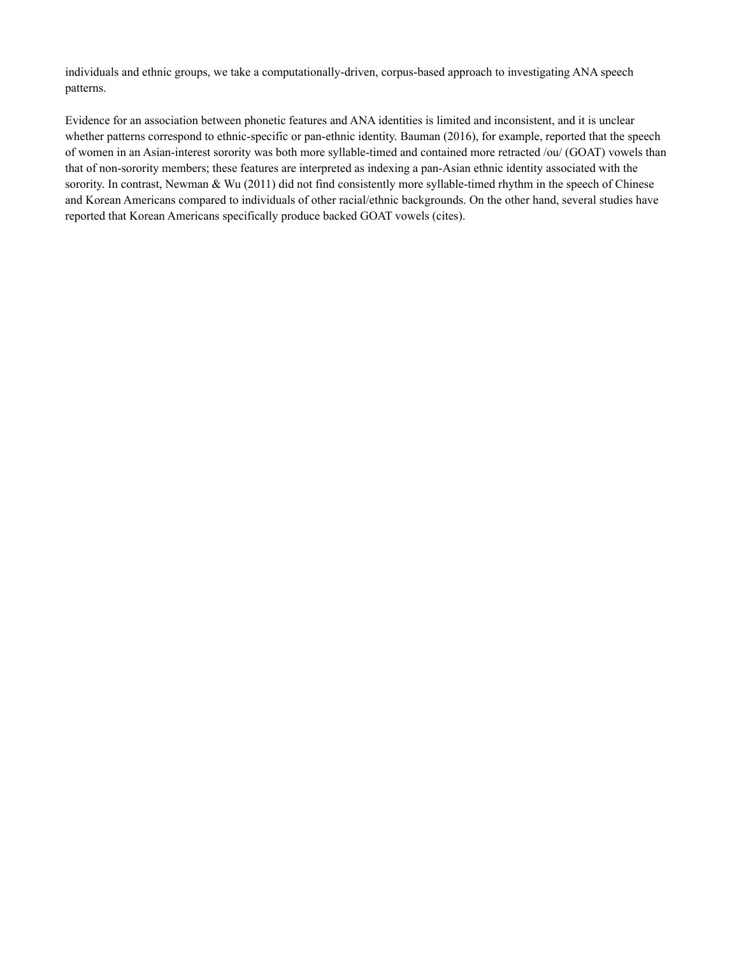individuals and ethnic groups, we take a computationally-driven, corpus-based approach to investigating ANA speech patterns.

Evidence for an association between phonetic features and ANA identities is limited and inconsistent, and it is unclear whether patterns correspond to ethnic-specific or pan-ethnic identity. Bauman (2016), for example, reported that the speech of women in an Asian-interest sorority was both more syllable-timed and contained more retracted /ou/ (GOAT) vowels than that of non-sorority members; these features are interpreted as indexing a pan-Asian ethnic identity associated with the sorority. In contrast, Newman & Wu (2011) did not find consistently more syllable-timed rhythm in the speech of Chinese and Korean Americans compared to individuals of other racial/ethnic backgrounds. On the other hand, several studies have reported that Korean Americans specifically produce backed GOAT vowels (cites).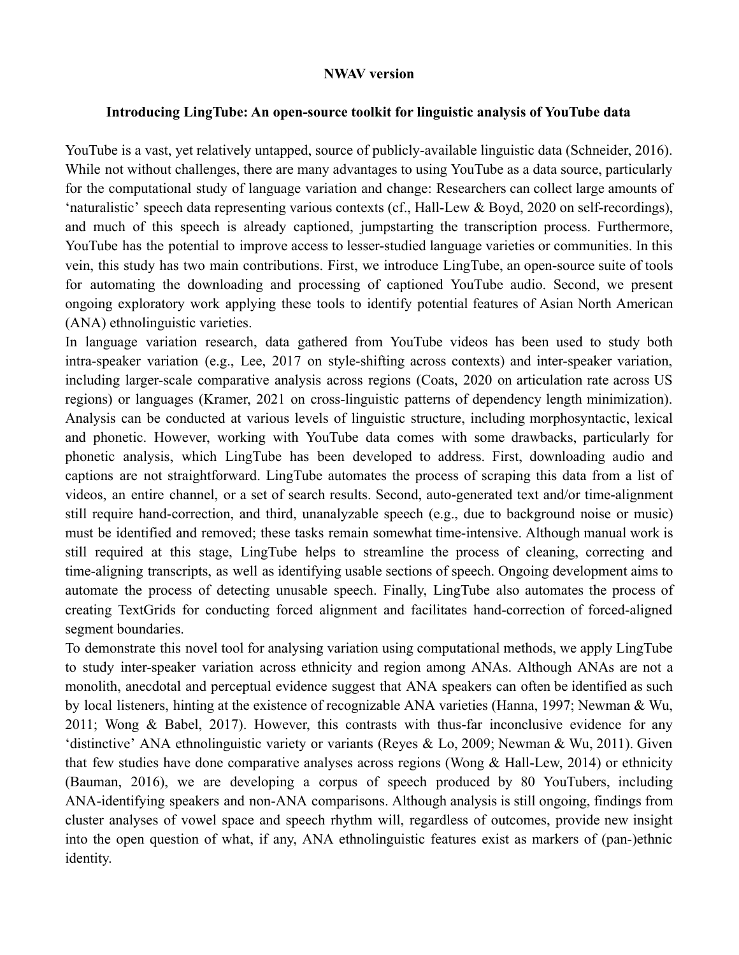## **NWAV version**

## **Introducing LingTube: An open-source toolkit for linguistic analysis of YouTube data**

YouTube is a vast, yet relatively untapped, source of publicly-available linguistic data (Schneider, 2016). While not without challenges, there are many advantages to using YouTube as a data source, particularly for the computational study of language variation and change: Researchers can collect large amounts of 'naturalistic' speech data representing various contexts (cf., Hall-Lew & Boyd, 2020 on self-recordings), and much of this speech is already captioned, jumpstarting the transcription process. Furthermore, YouTube has the potential to improve access to lesser-studied language varieties or communities. In this vein, this study has two main contributions. First, we introduce LingTube, an open-source suite of tools for automating the downloading and processing of captioned YouTube audio. Second, we present ongoing exploratory work applying these tools to identify potential features of Asian North American (ANA) ethnolinguistic varieties.

In language variation research, data gathered from YouTube videos has been used to study both intra-speaker variation (e.g., Lee, 2017 on style-shifting across contexts) and inter-speaker variation, including larger-scale comparative analysis across regions (Coats, 2020 on articulation rate across US regions) or languages (Kramer, 2021 on cross-linguistic patterns of dependency length minimization). Analysis can be conducted at various levels of linguistic structure, including morphosyntactic, lexical and phonetic. However, working with YouTube data comes with some drawbacks, particularly for phonetic analysis, which LingTube has been developed to address. First, downloading audio and captions are not straightforward. LingTube automates the process of scraping this data from a list of videos, an entire channel, or a set of search results. Second, auto-generated text and/or time-alignment still require hand-correction, and third, unanalyzable speech (e.g., due to background noise or music) must be identified and removed; these tasks remain somewhat time-intensive. Although manual work is still required at this stage, LingTube helps to streamline the process of cleaning, correcting and time-aligning transcripts, as well as identifying usable sections of speech. Ongoing development aims to automate the process of detecting unusable speech. Finally, LingTube also automates the process of creating TextGrids for conducting forced alignment and facilitates hand-correction of forced-aligned segment boundaries.

To demonstrate this novel tool for analysing variation using computational methods, we apply LingTube to study inter-speaker variation across ethnicity and region among ANAs. Although ANAs are not a monolith, anecdotal and perceptual evidence suggest that ANA speakers can often be identified as such by local listeners, hinting at the existence of recognizable ANA varieties (Hanna, 1997; Newman & Wu, 2011; Wong & Babel, 2017). However, this contrasts with thus-far inconclusive evidence for any 'distinctive' ANA ethnolinguistic variety or variants (Reyes & Lo, 2009; Newman & Wu, 2011). Given that few studies have done comparative analyses across regions (Wong & Hall-Lew, 2014) or ethnicity (Bauman, 2016), we are developing a corpus of speech produced by 80 YouTubers, including ANA-identifying speakers and non-ANA comparisons. Although analysis is still ongoing, findings from cluster analyses of vowel space and speech rhythm will, regardless of outcomes, provide new insight into the open question of what, if any, ANA ethnolinguistic features exist as markers of (pan-)ethnic identity.